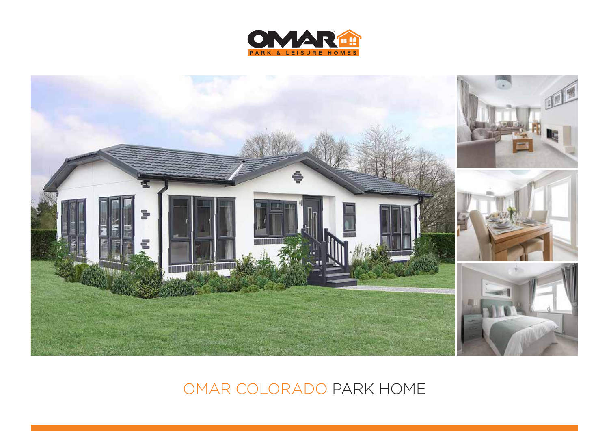



OMAR COLORADO PARK HOME